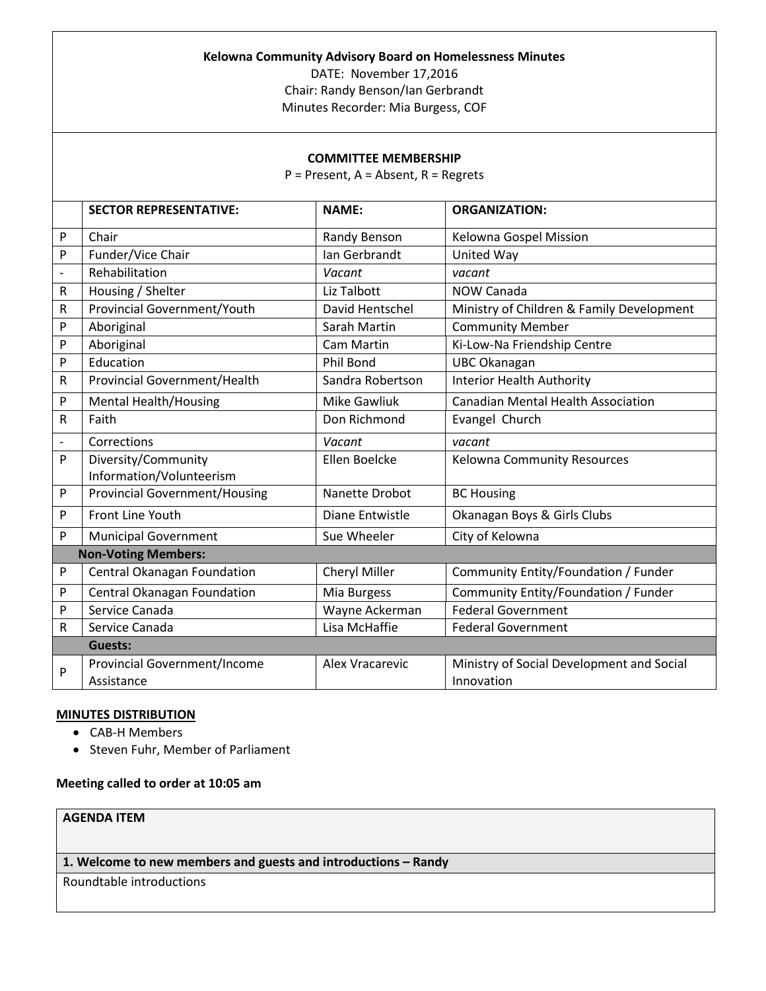| Kelowna Community Advisory Board on Homelessness Minutes<br>DATE: November 17,2016 |                                                   |                     |                                                         |
|------------------------------------------------------------------------------------|---------------------------------------------------|---------------------|---------------------------------------------------------|
| Chair: Randy Benson/Ian Gerbrandt<br>Minutes Recorder: Mia Burgess, COF            |                                                   |                     |                                                         |
|                                                                                    |                                                   |                     |                                                         |
| <b>COMMITTEE MEMBERSHIP</b><br>$P =$ Present, A = Absent, R = Regrets              |                                                   |                     |                                                         |
|                                                                                    | <b>SECTOR REPRESENTATIVE:</b>                     | <b>NAME:</b>        | <b>ORGANIZATION:</b>                                    |
| P                                                                                  | Chair                                             | Randy Benson        | Kelowna Gospel Mission                                  |
| P                                                                                  | Funder/Vice Chair                                 | Ian Gerbrandt       | United Way                                              |
| $\overline{\phantom{a}}$                                                           | Rehabilitation                                    | Vacant              | vacant                                                  |
| $\mathsf R$                                                                        | Housing / Shelter                                 | Liz Talbott         | <b>NOW Canada</b>                                       |
| R                                                                                  | Provincial Government/Youth                       | David Hentschel     | Ministry of Children & Family Development               |
| P                                                                                  | Aboriginal                                        | Sarah Martin        | <b>Community Member</b>                                 |
| P                                                                                  | Aboriginal                                        | Cam Martin          | Ki-Low-Na Friendship Centre                             |
| P                                                                                  | Education                                         | Phil Bond           | <b>UBC Okanagan</b>                                     |
| R                                                                                  | Provincial Government/Health                      | Sandra Robertson    | <b>Interior Health Authority</b>                        |
| P                                                                                  | <b>Mental Health/Housing</b>                      | <b>Mike Gawliuk</b> | <b>Canadian Mental Health Association</b>               |
| $\mathsf{R}$                                                                       | Faith                                             | Don Richmond        | Evangel Church                                          |
| $\qquad \qquad \blacksquare$                                                       | Corrections                                       | Vacant              | vacant                                                  |
| $\mathsf{P}$                                                                       | Diversity/Community<br>Information/Volunteerism   | Ellen Boelcke       | Kelowna Community Resources                             |
| P                                                                                  | <b>Provincial Government/Housing</b>              | Nanette Drobot      | <b>BC Housing</b>                                       |
| P                                                                                  | Front Line Youth                                  | Diane Entwistle     | Okanagan Boys & Girls Clubs                             |
| P                                                                                  | <b>Municipal Government</b>                       | Sue Wheeler         | City of Kelowna                                         |
| <b>Non-Voting Members:</b>                                                         |                                                   |                     |                                                         |
| $\mathsf{P}$                                                                       | Central Okanagan Foundation                       | Cheryl Miller       | Community Entity/Foundation / Funder                    |
| P                                                                                  | Central Okanagan Foundation                       | Mia Burgess         | Community Entity/Foundation / Funder                    |
| P                                                                                  | Service Canada                                    | Wayne Ackerman      | <b>Federal Government</b>                               |
| R                                                                                  | Service Canada                                    | Lisa McHaffie       | <b>Federal Government</b>                               |
| <b>Guests:</b>                                                                     |                                                   |                     |                                                         |
| $\mathsf{P}$                                                                       | <b>Provincial Government/Income</b><br>Assistance | Alex Vracarevic     | Ministry of Social Development and Social<br>Innovation |

# **MINUTES DISTRIBUTION**

- CAB-H Members
- Steven Fuhr, Member of Parliament

# **Meeting called to order at 10:05 am**

# **AGENDA ITEM**

# **1. Welcome to new members and guests and introductions – Randy**

Roundtable introductions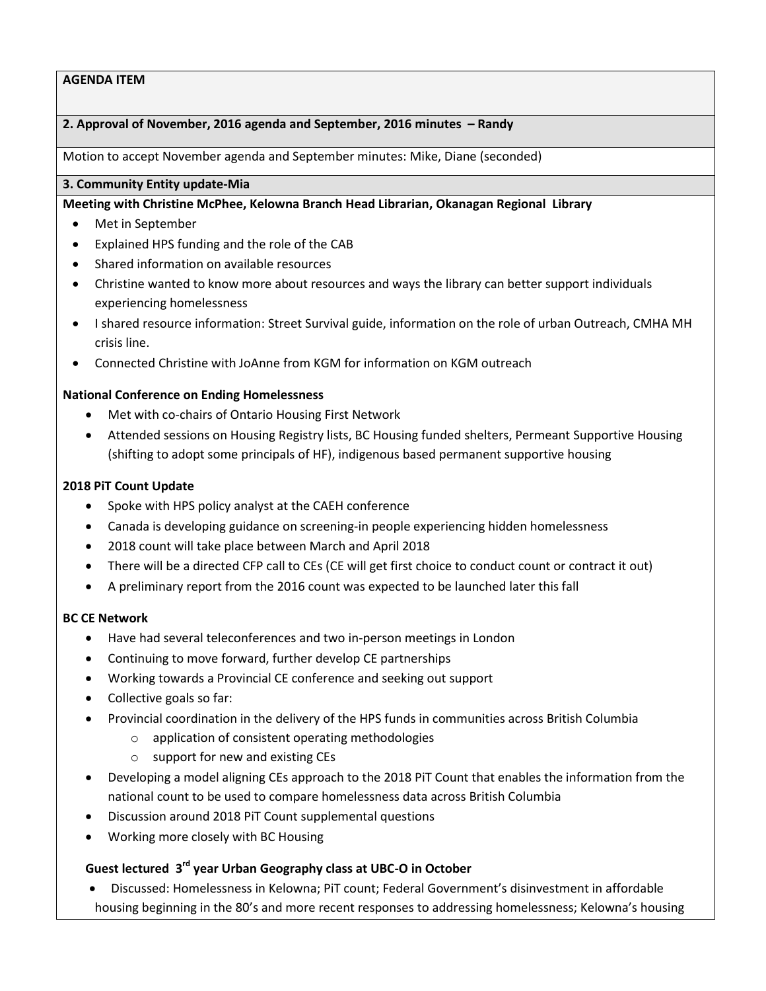### **2. Approval of November, 2016 agenda and September, 2016 minutes – Randy**

Motion to accept November agenda and September minutes: Mike, Diane (seconded)

# **3. Community Entity update-Mia**

**Meeting with Christine McPhee, Kelowna Branch Head Librarian, Okanagan Regional Library**

- Met in September
- Explained HPS funding and the role of the CAB
- Shared information on available resources
- Christine wanted to know more about resources and ways the library can better support individuals experiencing homelessness
- I shared resource information: Street Survival guide, information on the role of urban Outreach, CMHA MH crisis line.
- Connected Christine with JoAnne from KGM for information on KGM outreach

### **National Conference on Ending Homelessness**

- Met with co-chairs of Ontario Housing First Network
- Attended sessions on Housing Registry lists, BC Housing funded shelters, Permeant Supportive Housing (shifting to adopt some principals of HF), indigenous based permanent supportive housing

# **2018 PiT Count Update**

- Spoke with HPS policy analyst at the CAEH conference
- Canada is developing guidance on screening-in people experiencing hidden homelessness
- 2018 count will take place between March and April 2018
- There will be a directed CFP call to CEs (CE will get first choice to conduct count or contract it out)
- A preliminary report from the 2016 count was expected to be launched later this fall

### **BC CE Network**

- Have had several teleconferences and two in-person meetings in London
- Continuing to move forward, further develop CE partnerships
- Working towards a Provincial CE conference and seeking out support
- Collective goals so far:
- Provincial coordination in the delivery of the HPS funds in communities across British Columbia
	- o application of consistent operating methodologies
	- o support for new and existing CEs
- Developing a model aligning CEs approach to the 2018 PiT Count that enables the information from the national count to be used to compare homelessness data across British Columbia
- Discussion around 2018 PiT Count supplemental questions
- Working more closely with BC Housing

# **Guest lectured 3 rd year Urban Geography class at UBC-O in October**

 Discussed: Homelessness in Kelowna; PiT count; Federal Government's disinvestment in affordable housing beginning in the 80's and more recent responses to addressing homelessness; Kelowna's housing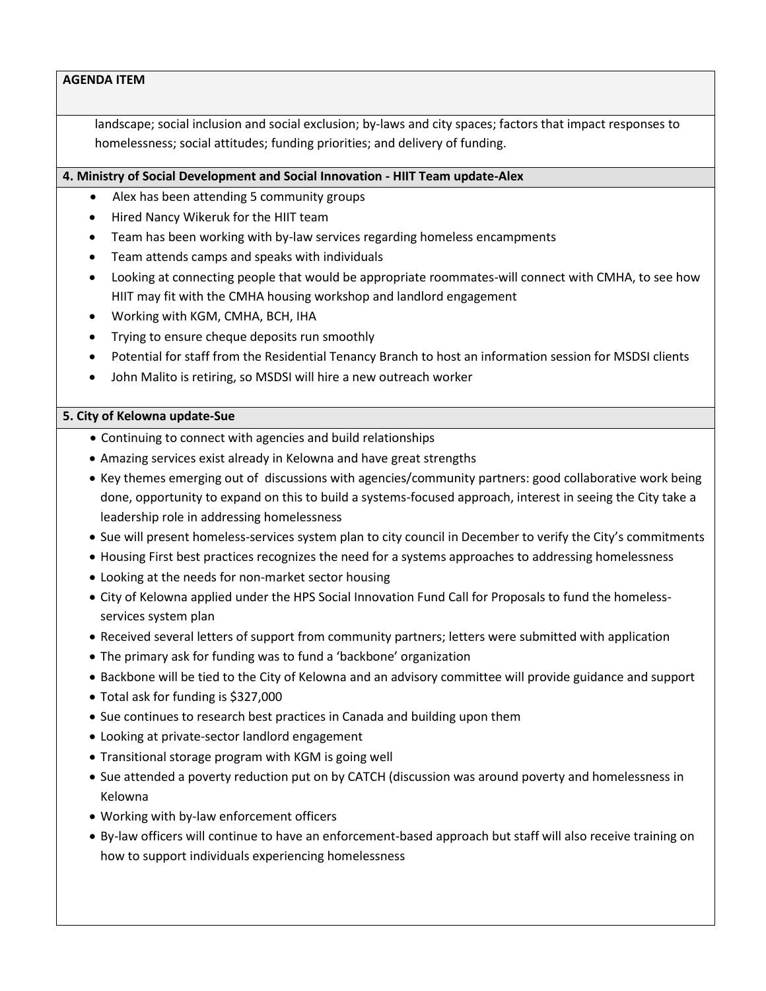landscape; social inclusion and social exclusion; by-laws and city spaces; factors that impact responses to homelessness; social attitudes; funding priorities; and delivery of funding.

### **4. Ministry of Social Development and Social Innovation - HIIT Team update-Alex**

- Alex has been attending 5 community groups
- Hired Nancy Wikeruk for the HIIT team
- Team has been working with by-law services regarding homeless encampments
- Team attends camps and speaks with individuals
- Looking at connecting people that would be appropriate roommates-will connect with CMHA, to see how HIIT may fit with the CMHA housing workshop and landlord engagement
- Working with KGM, CMHA, BCH, IHA
- Trying to ensure cheque deposits run smoothly
- Potential for staff from the Residential Tenancy Branch to host an information session for MSDSI clients
- John Malito is retiring, so MSDSI will hire a new outreach worker

### **5. City of Kelowna update-Sue**

- Continuing to connect with agencies and build relationships
- Amazing services exist already in Kelowna and have great strengths
- Key themes emerging out of discussions with agencies/community partners: good collaborative work being done, opportunity to expand on this to build a systems-focused approach, interest in seeing the City take a leadership role in addressing homelessness
- Sue will present homeless-services system plan to city council in December to verify the City's commitments
- Housing First best practices recognizes the need for a systems approaches to addressing homelessness
- Looking at the needs for non-market sector housing
- City of Kelowna applied under the HPS Social Innovation Fund Call for Proposals to fund the homelessservices system plan
- Received several letters of support from community partners; letters were submitted with application
- The primary ask for funding was to fund a 'backbone' organization
- Backbone will be tied to the City of Kelowna and an advisory committee will provide guidance and support
- Total ask for funding is \$327,000
- Sue continues to research best practices in Canada and building upon them
- Looking at private-sector landlord engagement
- Transitional storage program with KGM is going well
- Sue attended a poverty reduction put on by CATCH (discussion was around poverty and homelessness in Kelowna
- Working with by-law enforcement officers
- By-law officers will continue to have an enforcement-based approach but staff will also receive training on how to support individuals experiencing homelessness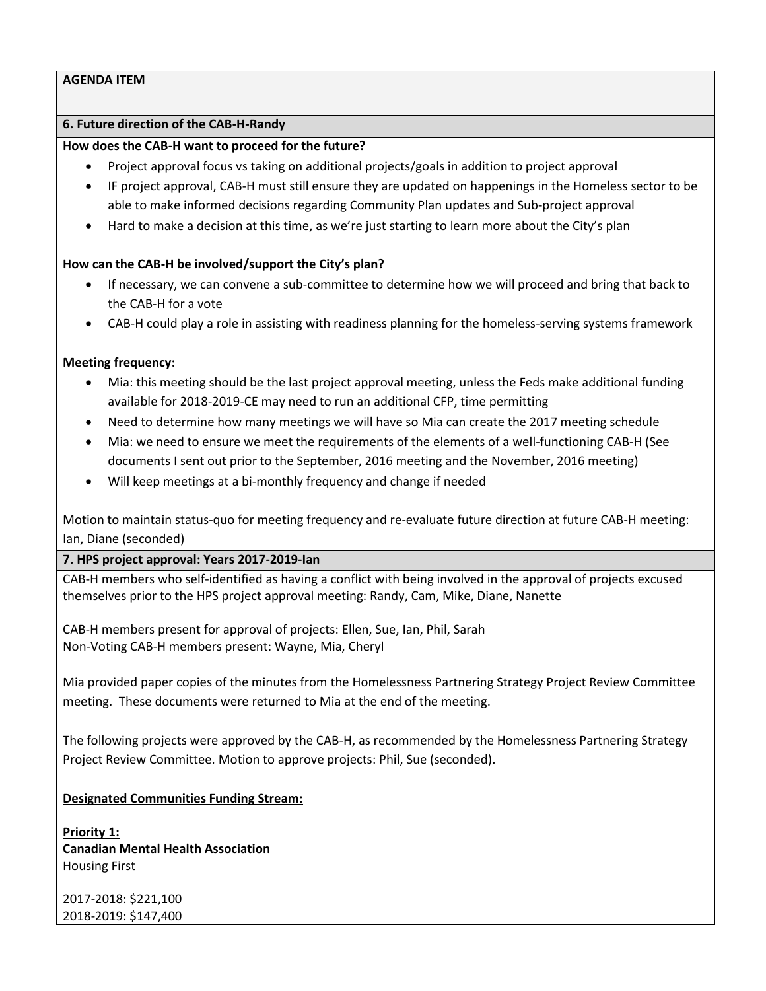# **6. Future direction of the CAB-H-Randy**

### **How does the CAB-H want to proceed for the future?**

- Project approval focus vs taking on additional projects/goals in addition to project approval
- IF project approval, CAB-H must still ensure they are updated on happenings in the Homeless sector to be able to make informed decisions regarding Community Plan updates and Sub-project approval
- Hard to make a decision at this time, as we're just starting to learn more about the City's plan

# **How can the CAB-H be involved/support the City's plan?**

- If necessary, we can convene a sub-committee to determine how we will proceed and bring that back to the CAB-H for a vote
- CAB-H could play a role in assisting with readiness planning for the homeless-serving systems framework

# **Meeting frequency:**

- Mia: this meeting should be the last project approval meeting, unless the Feds make additional funding available for 2018-2019-CE may need to run an additional CFP, time permitting
- Need to determine how many meetings we will have so Mia can create the 2017 meeting schedule
- Mia: we need to ensure we meet the requirements of the elements of a well-functioning CAB-H (See documents I sent out prior to the September, 2016 meeting and the November, 2016 meeting)
- Will keep meetings at a bi-monthly frequency and change if needed

Motion to maintain status-quo for meeting frequency and re-evaluate future direction at future CAB-H meeting: Ian, Diane (seconded)

**7. HPS project approval: Years 2017-2019-Ian**

CAB-H members who self-identified as having a conflict with being involved in the approval of projects excused themselves prior to the HPS project approval meeting: Randy, Cam, Mike, Diane, Nanette

CAB-H members present for approval of projects: Ellen, Sue, Ian, Phil, Sarah Non-Voting CAB-H members present: Wayne, Mia, Cheryl

Mia provided paper copies of the minutes from the Homelessness Partnering Strategy Project Review Committee meeting. These documents were returned to Mia at the end of the meeting.

The following projects were approved by the CAB-H, as recommended by the Homelessness Partnering Strategy Project Review Committee. Motion to approve projects: Phil, Sue (seconded).

### **Designated Communities Funding Stream:**

**Priority 1: Canadian Mental Health Association** Housing First

2017-2018: \$221,100 2018-2019: \$147,400